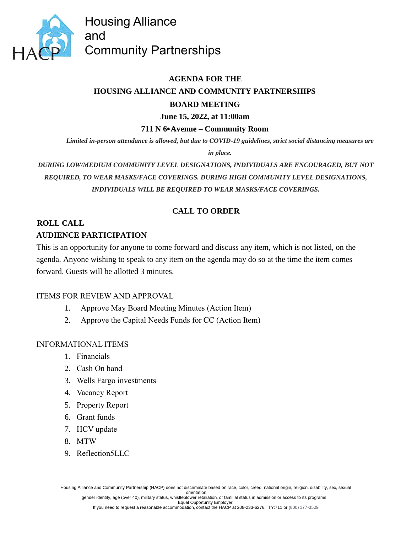

Housing Alliance and Community Partnerships

# **AGENDA FOR THE HOUSING ALLIANCE AND COMMUNITY PARTNERSHIPS BOARD MEETING**

### **June 15, 2022, at 11:00am**

### **711 N 6th Avenue – Community Room**

*Limited in-person attendance is allowed, but due to COVID-19 guidelines, strict social distancing measures are* 

*in place.*

*DURING LOW/MEDIUM COMMUNITY LEVEL DESIGNATIONS, INDIVIDUALS ARE ENCOURAGED, BUT NOT REQUIRED, TO WEAR MASKS/FACE COVERINGS. DURING HIGH COMMUNITY LEVEL DESIGNATIONS, INDIVIDUALS WILL BE REQUIRED TO WEAR MASKS/FACE COVERINGS.*

## **CALL TO ORDER**

# **ROLL CALL AUDIENCE PARTICIPATION**

This is an opportunity for anyone to come forward and discuss any item, which is not listed, on the agenda. Anyone wishing to speak to any item on the agenda may do so at the time the item comes forward. Guests will be allotted 3 minutes.

### ITEMS FOR REVIEW AND APPROVAL

- 1. Approve May Board Meeting Minutes (Action Item)
- 2. Approve the Capital Needs Funds for CC (Action Item)

### INFORMATIONAL ITEMS

- 1. Financials
- 2. Cash On hand
- 3. Wells Fargo investments
- 4. Vacancy Report
- 5. Property Report
- 6. Grant funds
- 7. HCV update
- 8. MTW
- 9. Reflection5LLC

Housing Alliance and Community Partnership (HACP) does not discriminate based on race, color, creed, national origin, religion, disability, sex, sexual orientation,

gender identity, age (over 40), military status, whistleblower retaliation, or familial status in admission or access to its programs. Equal Opportunity Employer.